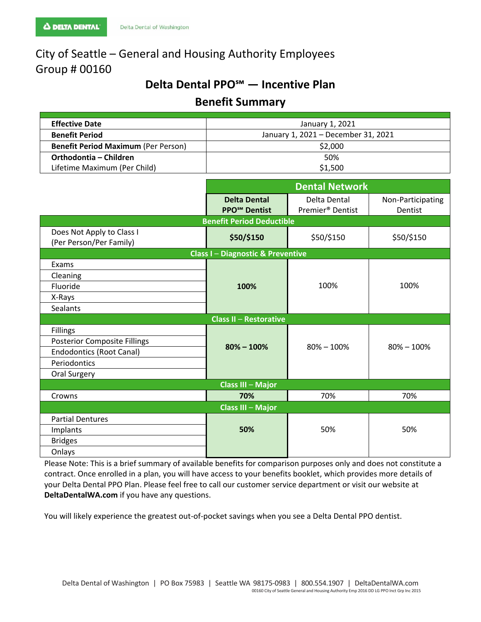# City of Seattle – General and Housing Authority Employees Group # 00160

# **Delta Dental PPO℠ — Incentive Plan**

# **Benefit Summary**

| <b>Effective Date</b>                      | January 1, 2021                     |  |  |
|--------------------------------------------|-------------------------------------|--|--|
| <b>Benefit Period</b>                      | January 1, 2021 - December 31, 2021 |  |  |
| <b>Benefit Period Maximum (Per Person)</b> | \$2,000                             |  |  |
| Orthodontia – Children                     | 50%                                 |  |  |
| Lifetime Maximum (Per Child)               | \$1,500                             |  |  |

|                                                      | <b>Dental Network</b>                                  |                                              |                              |
|------------------------------------------------------|--------------------------------------------------------|----------------------------------------------|------------------------------|
|                                                      | <b>Delta Dental</b><br><b>PPO<sup>SM</sup></b> Dentist | Delta Dental<br>Premier <sup>®</sup> Dentist | Non-Participating<br>Dentist |
| <b>Benefit Period Deductible</b>                     |                                                        |                                              |                              |
| Does Not Apply to Class I<br>(Per Person/Per Family) | \$50/\$150                                             | \$50/\$150                                   | \$50/\$150                   |
| <b>Class I-Diagnostic &amp; Preventive</b>           |                                                        |                                              |                              |
| Exams                                                | 100%                                                   | 100%                                         | 100%                         |
| Cleaning                                             |                                                        |                                              |                              |
| Fluoride                                             |                                                        |                                              |                              |
| X-Rays                                               |                                                        |                                              |                              |
| <b>Sealants</b>                                      |                                                        |                                              |                              |
| <b>Class II - Restorative</b>                        |                                                        |                                              |                              |
| <b>Fillings</b>                                      | $80\% - 100\%$                                         | $80\% - 100\%$                               | $80\% - 100\%$               |
| <b>Posterior Composite Fillings</b>                  |                                                        |                                              |                              |
| <b>Endodontics (Root Canal)</b>                      |                                                        |                                              |                              |
| Periodontics                                         |                                                        |                                              |                              |
| Oral Surgery                                         |                                                        |                                              |                              |
|                                                      | <b>Class III - Major</b>                               |                                              |                              |
| Crowns                                               | 70%                                                    | 70%                                          | 70%                          |
| <b>Class III - Major</b>                             |                                                        |                                              |                              |
| <b>Partial Dentures</b>                              | 50%                                                    | 50%                                          | 50%                          |
| Implants                                             |                                                        |                                              |                              |
| <b>Bridges</b>                                       |                                                        |                                              |                              |
| Onlays                                               |                                                        |                                              |                              |

Please Note: This is a brief summary of available benefits for comparison purposes only and does not constitute a contract. Once enrolled in a plan, you will have access to your benefits booklet, which provides more details of your Delta Dental PPO Plan. Please feel free to call our customer service department or visit our website at **DeltaDentalWA.com** if you have any questions.

You will likely experience the greatest out-of-pocket savings when you see a Delta Dental PPO dentist.